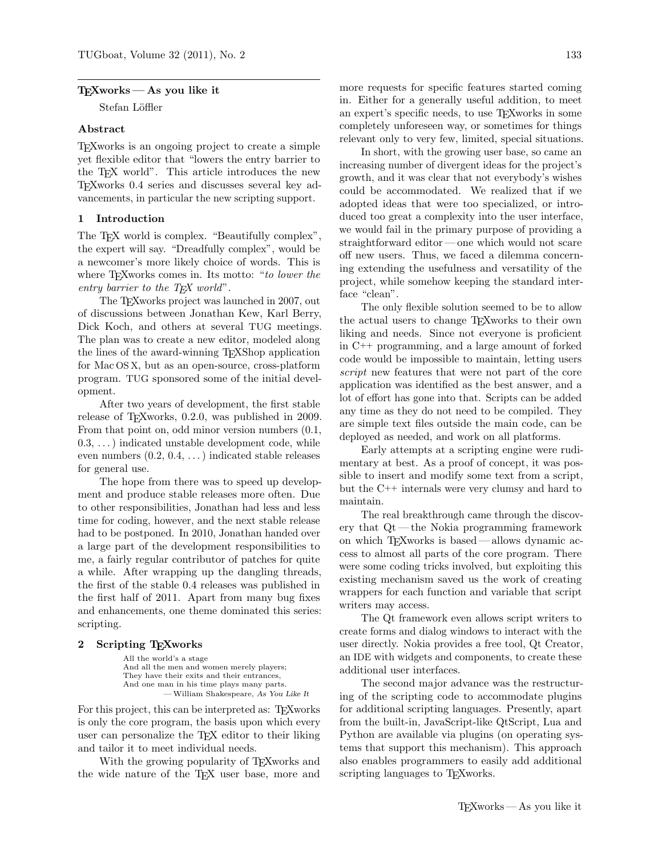### $TrXworks - As$  you like it

Stefan Löffler

### Abstract

TEXworks is an ongoing project to create a simple yet flexible editor that "lowers the entry barrier to the TEX world". This article introduces the new TEXworks 0.4 series and discusses several key advancements, in particular the new scripting support.

### 1 Introduction

The T<sub>EX</sub> world is complex. "Beautifully complex", the expert will say. "Dreadfully complex", would be a newcomer's more likely choice of words. This is where T<sub>F</sub>Xworks comes in. Its motto: "to lower the entry barrier to the  $T \not\vdash X$  world".

The TEXworks project was launched in 2007, out of discussions between Jonathan Kew, Karl Berry, Dick Koch, and others at several TUG meetings. The plan was to create a new editor, modeled along the lines of the award-winning TEXShop application for Mac OS X, but as an open-source, cross-platform program. TUG sponsored some of the initial development.

After two years of development, the first stable release of T<sub>F</sub>Xworks, 0.2.0, was published in 2009. From that point on, odd minor version numbers (0.1, 0.3, . . . ) indicated unstable development code, while even numbers  $(0.2, 0.4, ...)$  indicated stable releases for general use.

The hope from there was to speed up development and produce stable releases more often. Due to other responsibilities, Jonathan had less and less time for coding, however, and the next stable release had to be postponed. In 2010, Jonathan handed over a large part of the development responsibilities to me, a fairly regular contributor of patches for quite a while. After wrapping up the dangling threads, the first of the stable 0.4 releases was published in the first half of 2011. Apart from many bug fixes and enhancements, one theme dominated this series: scripting.

### 2 Scripting TEXworks

All the world's a stage And all the men and women merely players; They have their exits and their entrances, And one man in his time plays many parts. —William Shakespeare, As You Like It

For this project, this can be interpreted as: T<sub>EX</sub>works is only the core program, the basis upon which every user can personalize the TEX editor to their liking and tailor it to meet individual needs.

With the growing popularity of T<sub>E</sub>Xworks and the wide nature of the T<sub>E</sub>X user base, more and

more requests for specific features started coming in. Either for a generally useful addition, to meet an expert's specific needs, to use TEXworks in some completely unforeseen way, or sometimes for things relevant only to very few, limited, special situations.

In short, with the growing user base, so came an increasing number of divergent ideas for the project's growth, and it was clear that not everybody's wishes could be accommodated. We realized that if we adopted ideas that were too specialized, or introduced too great a complexity into the user interface, we would fail in the primary purpose of providing a straightforward editor — one which would not scare off new users. Thus, we faced a dilemma concerning extending the usefulness and versatility of the project, while somehow keeping the standard interface "clean".

The only flexible solution seemed to be to allow the actual users to change TEXworks to their own liking and needs. Since not everyone is proficient in C++ programming, and a large amount of forked code would be impossible to maintain, letting users script new features that were not part of the core application was identified as the best answer, and a lot of effort has gone into that. Scripts can be added any time as they do not need to be compiled. They are simple text files outside the main code, can be deployed as needed, and work on all platforms.

Early attempts at a scripting engine were rudimentary at best. As a proof of concept, it was possible to insert and modify some text from a script, but the C++ internals were very clumsy and hard to maintain.

The real breakthrough came through the discovery that Qt— the Nokia programming framework on which TEXworks is based— allows dynamic access to almost all parts of the core program. There were some coding tricks involved, but exploiting this existing mechanism saved us the work of creating wrappers for each function and variable that script writers may access.

The Qt framework even allows script writers to create forms and dialog windows to interact with the user directly. Nokia provides a free tool, Qt Creator, an IDE with widgets and components, to create these additional user interfaces.

The second major advance was the restructuring of the scripting code to accommodate plugins for additional scripting languages. Presently, apart from the built-in, JavaScript-like QtScript, Lua and Python are available via plugins (on operating systems that support this mechanism). This approach also enables programmers to easily add additional scripting languages to T<sub>E</sub>Xworks.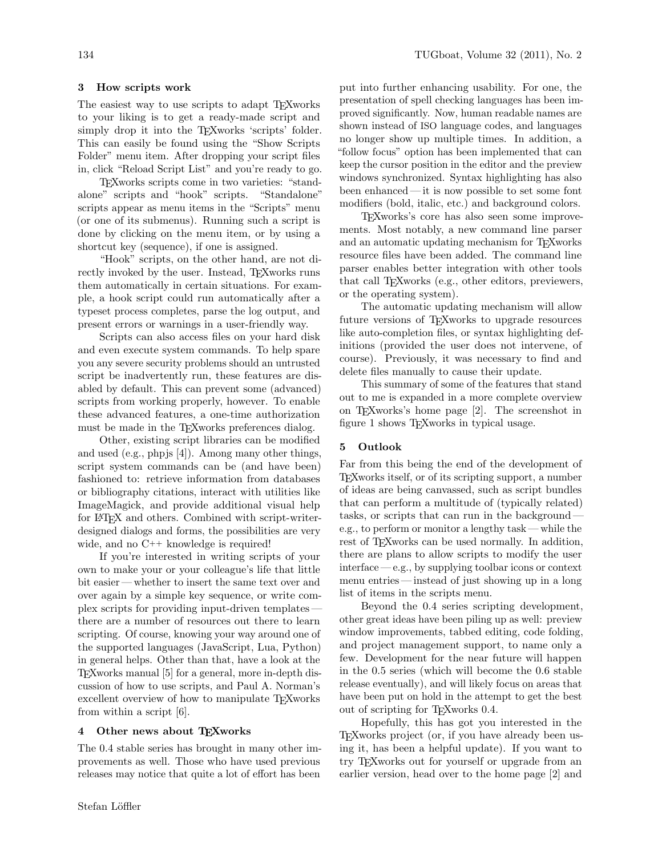# 3 How scripts work

The easiest way to use scripts to adapt T<sub>E</sub>Xworks to your liking is to get a ready-made script and simply drop it into the T<sub>E</sub>Xworks 'scripts' folder. This can easily be found using the "Show Scripts Folder" menu item. After dropping your script files in, click "Reload Script List" and you're ready to go.

TEXworks scripts come in two varieties: "standalone" scripts and "hook" scripts. "Standalone" scripts appear as menu items in the "Scripts" menu (or one of its submenus). Running such a script is done by clicking on the menu item, or by using a shortcut key (sequence), if one is assigned.

"Hook" scripts, on the other hand, are not directly invoked by the user. Instead, T<sub>F</sub>Xworks runs them automatically in certain situations. For example, a hook script could run automatically after a typeset process completes, parse the log output, and present errors or warnings in a user-friendly way.

Scripts can also access files on your hard disk and even execute system commands. To help spare you any severe security problems should an untrusted script be inadvertently run, these features are disabled by default. This can prevent some (advanced) scripts from working properly, however. To enable these advanced features, a one-time authorization must be made in the T<sub>E</sub>Xworks preferences dialog.

Other, existing script libraries can be modified and used (e.g., phpjs [\[4\]](#page-2-0)). Among many other things, script system commands can be (and have been) fashioned to: retrieve information from databases or bibliography citations, interact with utilities like ImageMagick, and provide additional visual help for LATEX and others. Combined with script-writerdesigned dialogs and forms, the possibilities are very wide, and no  $C^{++}$  knowledge is required!

If you're interested in writing scripts of your own to make your or your colleague's life that little bit easier — whether to insert the same text over and over again by a simple key sequence, or write complex scripts for providing input-driven templates there are a number of resources out there to learn scripting. Of course, knowing your way around one of the supported languages (JavaScript, Lua, Python) in general helps. Other than that, have a look at the TEXworks manual [\[5\]](#page-2-1) for a general, more in-depth discussion of how to use scripts, and Paul A. Norman's excellent overview of how to manipulate T<sub>E</sub>Xworks from within a script [\[6\]](#page-2-2).

## 4 Other news about TEXworks

The 0.4 stable series has brought in many other improvements as well. Those who have used previous releases may notice that quite a lot of effort has been

put into further enhancing usability. For one, the presentation of spell checking languages has been improved significantly. Now, human readable names are shown instead of ISO language codes, and languages no longer show up multiple times. In addition, a "follow focus" option has been implemented that can keep the cursor position in the editor and the preview windows synchronized. Syntax highlighting has also been enhanced — it is now possible to set some font modifiers (bold, italic, etc.) and background colors.

TEXworks's core has also seen some improvements. Most notably, a new command line parser and an automatic updating mechanism for TEXworks resource files have been added. The command line parser enables better integration with other tools that call TEXworks (e.g., other editors, previewers, or the operating system).

The automatic updating mechanism will allow future versions of T<sub>E</sub>Xworks to upgrade resources like auto-completion files, or syntax highlighting definitions (provided the user does not intervene, of course). Previously, it was necessary to find and delete files manually to cause their update.

This summary of some of the features that stand out to me is expanded in a more complete overview on TEXworks's home page [\[2\]](#page-2-3). The screenshot in figure [1](#page-2-4) shows TEXworks in typical usage.

### 5 Outlook

Far from this being the end of the development of TEXworks itself, or of its scripting support, a number of ideas are being canvassed, such as script bundles that can perform a multitude of (typically related) tasks, or scripts that can run in the background e.g., to perform or monitor a lengthy task — while the rest of T<sub>E</sub>Xworks can be used normally. In addition, there are plans to allow scripts to modify the user interface — e.g., by supplying toolbar icons or context menu entries — instead of just showing up in a long list of items in the scripts menu.

Beyond the 0.4 series scripting development, other great ideas have been piling up as well: preview window improvements, tabbed editing, code folding, and project management support, to name only a few. Development for the near future will happen in the 0.5 series (which will become the 0.6 stable release eventually), and will likely focus on areas that have been put on hold in the attempt to get the best out of scripting for TEXworks 0.4.

Hopefully, this has got you interested in the TEXworks project (or, if you have already been using it, has been a helpful update). If you want to try TEXworks out for yourself or upgrade from an earlier version, head over to the home page [\[2\]](#page-2-3) and